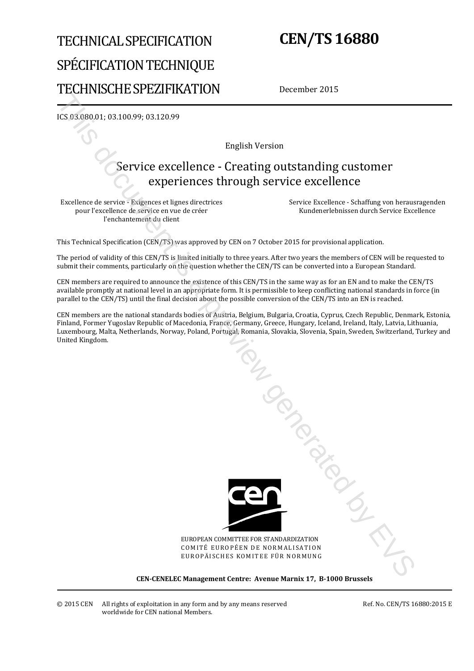# TECHNICAL SPECIFICATION SPÉCIFICATION TECHNIQUE TECHNISCHE SPEZIFIKATION

## **CEN/TS 16880**

December 2015

ICS 03.080.01; 03.100.99; 03.120.99

English Version

## Service excellence - Creating outstanding customer experiences through service excellence

Excellence de service - Exigences et lignes directrices pour l'excellence de service en vue de créer l'enchantement du client

 Service Excellence - Schaffung von herausragenden Kundenerlebnissen durch Service Excellence

This Technical Specification (CEN/TS) was approved by CEN on 7 October 2015 for provisional application.

The period of validity of this CEN/TS is limited initially to three years. After two years the members of CEN will be requested to submit their comments, particularly on the question whether the CEN/TS can be converted into a European Standard.

CEN members are required to announce the existence of this CEN/TS in the same way as for an EN and to make the CEN/TS available promptly at national level in an appropriate form. It is permissible to keep conflicting national standards in force (in parallel to the CEN/TS) until the final decision about the possible conversion of the CEN/TS into an EN is reached.

CEN members are the national standards bodies of Austria, Belgium, Bulgaria, Croatia, Cyprus, Czech Republic, Denmark, Estonia, Finland, Former Yugoslav Republic of Macedonia, France, Germany, Greece, Hungary, Iceland, Ireland, Italy, Latvia, Lithuania, Luxembourg, Malta, Netherlands, Norway, Poland, Portugal, Romania, Slovakia, Slovenia, Spain, Sweden, Switzerland, Turkey and United Kingdom.



EUROPEAN COMMITTEE FOR STANDARDIZATION COMITÉ EUROPÉEN DE NORMALISATION EUROPÄISCHES KOMITEE FÜR NORMUNG

**CEN-CENELEC Management Centre: Avenue Marnix 17, B-1000 Brussels**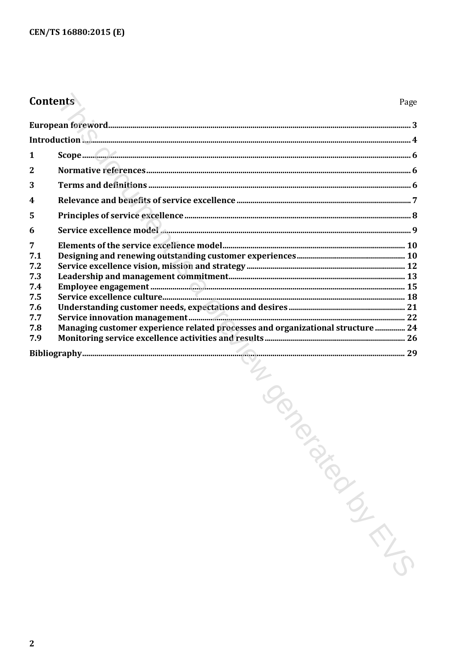## **Contents**

| Introduction <b>Manual Communication and Communication</b> and Communication and Communication and Communication and A |                                                                                 |  |
|------------------------------------------------------------------------------------------------------------------------|---------------------------------------------------------------------------------|--|
| $\mathbf{1}$                                                                                                           |                                                                                 |  |
| $\mathbf{2}$                                                                                                           |                                                                                 |  |
| 3                                                                                                                      |                                                                                 |  |
| 4                                                                                                                      |                                                                                 |  |
| 5                                                                                                                      |                                                                                 |  |
| 6                                                                                                                      |                                                                                 |  |
| 7<br>7.1<br>7.2<br>7.3<br>7.4<br>7.5<br>7.6<br>7.7<br>7.8<br>7.9                                                       | Managing customer experience related processes and organizational structure  24 |  |
|                                                                                                                        | I TON BIRO                                                                      |  |
|                                                                                                                        |                                                                                 |  |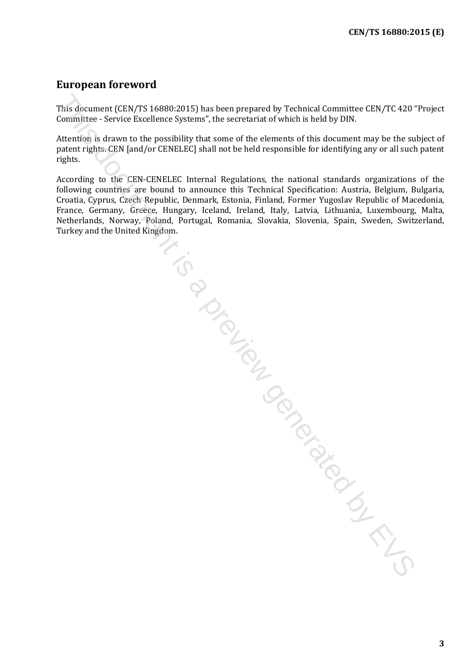## <span id="page-2-0"></span>**European foreword**

This document (CEN/TS 16880:2015) has been prepared by Technical Committee CEN/TC 420 "Project Committee - Service Excellence Systems", the secretariat of which is held by DIN.

Attention is drawn to the possibility that some of the elements of this document may be the subject of patent rights. CEN [and/or CENELEC] shall not be held responsible for identifying any or all such patent rights.

According to the CEN-CENELEC Internal Regulations, the national standards organizations of the following countries are bound to announce this Technical Specification: Austria, Belgium, Bulgaria, Croatia, Cyprus, Czech Republic, Denmark, Estonia, Finland, Former Yugoslav Republic of Macedonia, France, Germany, Greece, Hungary, Iceland, Ireland, Italy, Latvia, Lithuania, Luxembourg, Malta, Netherlands, Norway, Poland, Portugal, Romania, Slovakia, Slovenia, Spain, Sweden, Switzerland, Turkey and the United Kingdom. This document (CEN/TS 16880:2015) has been prepared by Technical Committee CEN/TC 420<br>Committee - Service Excellence Systems", the secretariat of which is held by DIN.<br>
Attention is a raw to use possibling that some of the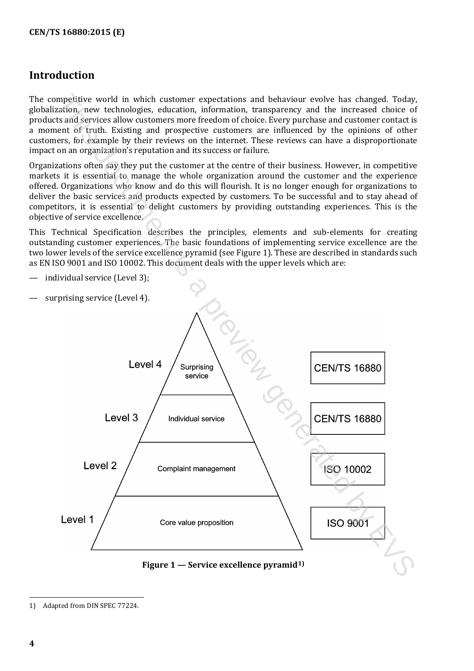## <span id="page-3-0"></span>**Introduction**

The competitive world in which customer expectations and behaviour evolve has changed. Today, globalization, new technologies, education, information, transparency and the increased choice of products and services allow customers more freedom of choice. Every purchase and customer contact is a moment of truth. Existing and prospective customers are influenced by the opinions of other customers, for example by their reviews on the internet. These reviews can have a disproportionate impact on an organization's reputation and its success or failure.

Organizations often say they put the customer at the centre of their business. However, in competitive markets it is essential to manage the whole organization around the customer and the experience offered. Organizations who know and do this will flourish. It is no longer enough for organizations to deliver the basic services and products expected by customers. To be successful and to stay ahead of competitors, it is essential to delight customers by providing outstanding experiences. This is the objective of service excellence.

This Technical Specification describes the principles, elements and sub-elements for creating outstanding customer experiences. The basic foundations of implementing service excellence are the two lower levels of the service excellence pyramid (see Figure 1). These are described in standards such as EN ISO 9001 and ISO 10002. This document deals with the upper levels which are:

- individual service (Level 3);
- surprising service (Level 4). maplituse world in which customer expectations and between the changed Today<br>
meaning mean the strength of the strength of the strength of the strength of the strength of the strength of the strength of the strength of th



<span id="page-3-1"></span>j 1) Adapted from DIN SPEC 77224.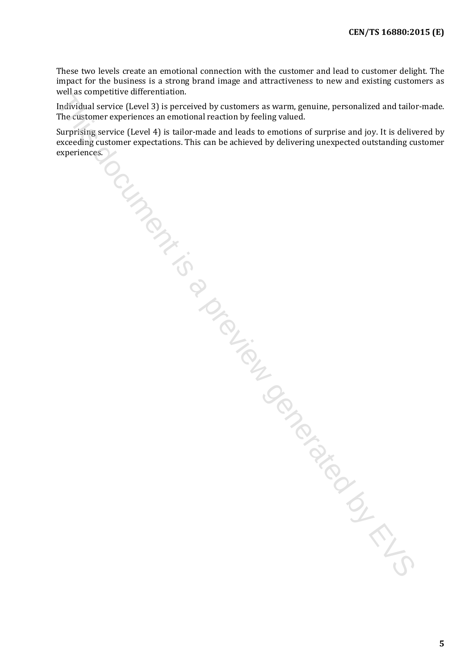These two levels create an emotional connection with the customer and lead to customer delight. The impact for the business is a strong brand image and attractiveness to new and existing customers as well as competitive differentiation.

Individual service (Level 3) is perceived by customers as warm, genuine, personalized and tailor-made. The customer experiences an emotional reaction by feeling valued.

Surprising service (Level 4) is tailor-made and leads to emotions of surprise and joy. It is delivered by exceeding customer expectations. This can be achieved by delivering unexpected outstanding customer experiences. ven as unique unicolational spectroscopy and the preview day constrollers as worm, genuine, personalized and tailor<br>The diutomate respectences are mentional reaction by reeling rations of surprise and joy. It is deliverati